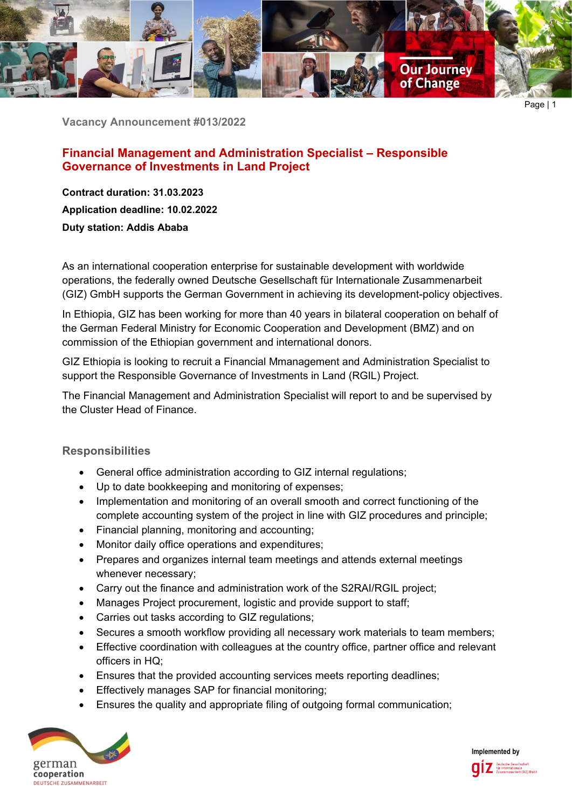

**Vacancy Announcement #013/2022**

# **Financial Management and Administration Specialist – Responsible Governance of Investments in Land Project**

**Contract duration: 31.03.2023 Application deadline: 10.02.2022 Duty station: Addis Ababa**

As an international cooperation enterprise for sustainable development with worldwide operations, the federally owned Deutsche Gesellschaft für Internationale Zusammenarbeit (GIZ) GmbH supports the German Government in achieving its development-policy objectives.

In Ethiopia, GIZ has been working for more than 40 years in bilateral cooperation on behalf of the German Federal Ministry for Economic Cooperation and Development (BMZ) and on commission of the Ethiopian government and international donors.

GIZ Ethiopia is looking to recruit a Financial Mmanagement and Administration Specialist to support the Responsible Governance of Investments in Land (RGIL) Project.

The Financial Management and Administration Specialist will report to and be supervised by the Cluster Head of Finance.

# **Responsibilities**

- General office administration according to GIZ internal regulations;
- Up to date bookkeeping and monitoring of expenses;
- Implementation and monitoring of an overall smooth and correct functioning of the complete accounting system of the project in line with GIZ procedures and principle;
- Financial planning, monitoring and accounting;
- Monitor daily office operations and expenditures:
- Prepares and organizes internal team meetings and attends external meetings whenever necessary;
- Carry out the finance and administration work of the S2RAI/RGIL project;
- Manages Project procurement, logistic and provide support to staff;
- Carries out tasks according to GIZ regulations;
- Secures a smooth workflow providing all necessary work materials to team members;
- Effective coordination with colleagues at the country office, partner office and relevant officers in HQ;
- Ensures that the provided accounting services meets reporting deadlines;
- Effectively manages SAP for financial monitoring;
- Ensures the quality and appropriate filing of outgoing formal communication;



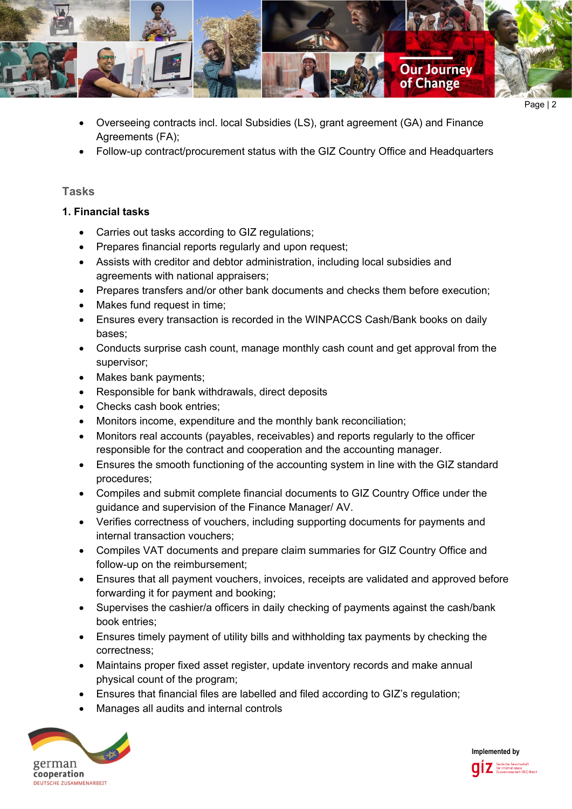

- Overseeing contracts incl. local Subsidies (LS), grant agreement (GA) and Finance Agreements (FA);
- Follow-up contract/procurement status with the GIZ Country Office and Headquarters

### **Tasks**

### **1. Financial tasks**

- Carries out tasks according to GIZ regulations;
- Prepares financial reports regularly and upon request;
- Assists with creditor and debtor administration, including local subsidies and agreements with national appraisers;
- Prepares transfers and/or other bank documents and checks them before execution;
- Makes fund request in time;
- Ensures every transaction is recorded in the WINPACCS Cash/Bank books on daily bases;
- Conducts surprise cash count, manage monthly cash count and get approval from the supervisor;
- Makes bank payments;
- Responsible for bank withdrawals, direct deposits
- Checks cash book entries;
- Monitors income, expenditure and the monthly bank reconciliation;
- Monitors real accounts (payables, receivables) and reports regularly to the officer responsible for the contract and cooperation and the accounting manager.
- Ensures the smooth functioning of the accounting system in line with the GIZ standard procedures;
- Compiles and submit complete financial documents to GIZ Country Office under the guidance and supervision of the Finance Manager/ AV.
- Verifies correctness of vouchers, including supporting documents for payments and internal transaction vouchers;
- Compiles VAT documents and prepare claim summaries for GIZ Country Office and follow-up on the reimbursement;
- Ensures that all payment vouchers, invoices, receipts are validated and approved before forwarding it for payment and booking;
- Supervises the cashier/a officers in daily checking of payments against the cash/bank book entries;
- Ensures timely payment of utility bills and withholding tax payments by checking the correctness;
- Maintains proper fixed asset register, update inventory records and make annual physical count of the program;
- Ensures that financial files are labelled and filed according to GIZ's regulation;
- Manages all audits and internal controls



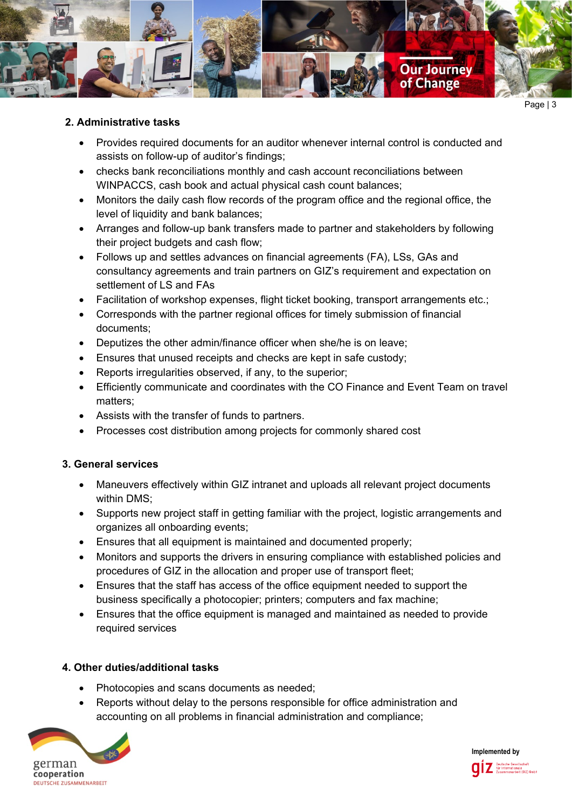

#### **2. Administrative tasks**

- Provides required documents for an auditor whenever internal control is conducted and assists on follow-up of auditor's findings;
- checks bank reconciliations monthly and cash account reconciliations between WINPACCS, cash book and actual physical cash count balances;
- Monitors the daily cash flow records of the program office and the regional office, the level of liquidity and bank balances;
- Arranges and follow-up bank transfers made to partner and stakeholders by following their project budgets and cash flow;
- Follows up and settles advances on financial agreements (FA), LSs, GAs and consultancy agreements and train partners on GIZ's requirement and expectation on settlement of LS and FAs
- Facilitation of workshop expenses, flight ticket booking, transport arrangements etc.;
- Corresponds with the partner regional offices for timely submission of financial documents;
- Deputizes the other admin/finance officer when she/he is on leave;
- Ensures that unused receipts and checks are kept in safe custody;
- Reports irregularities observed, if any, to the superior;
- Efficiently communicate and coordinates with the CO Finance and Event Team on travel matters;
- Assists with the transfer of funds to partners.
- Processes cost distribution among projects for commonly shared cost

#### **3. General services**

- Maneuvers effectively within GIZ intranet and uploads all relevant project documents within DMS;
- Supports new project staff in getting familiar with the project, logistic arrangements and organizes all onboarding events;
- Ensures that all equipment is maintained and documented properly;
- Monitors and supports the drivers in ensuring compliance with established policies and procedures of GIZ in the allocation and proper use of transport fleet;
- Ensures that the staff has access of the office equipment needed to support the business specifically a photocopier; printers; computers and fax machine;
- Ensures that the office equipment is managed and maintained as needed to provide required services

#### **4. Other duties/additional tasks**

- Photocopies and scans documents as needed;
- Reports without delay to the persons responsible for office administration and accounting on all problems in financial administration and compliance;



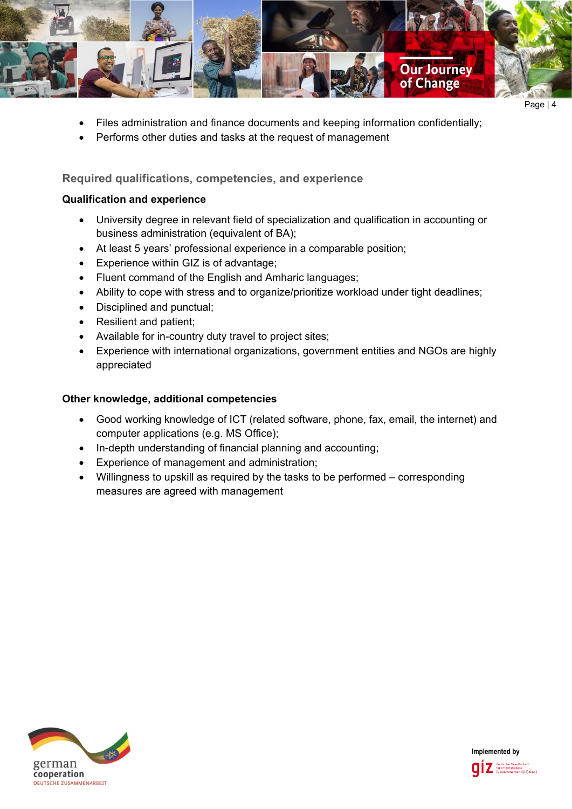

- Files administration and finance documents and keeping information confidentially;
- Performs other duties and tasks at the request of management

# **Required qualifications, competencies, and experience**

#### **Qualification and experience**

- University degree in relevant field of specialization and qualification in accounting or business administration (equivalent of BA);
- At least 5 years' professional experience in a comparable position;
- Experience within GIZ is of advantage;
- Fluent command of the English and Amharic languages;
- Ability to cope with stress and to organize/prioritize workload under tight deadlines;
- Disciplined and punctual;
- Resilient and patient;
- Available for in-country duty travel to project sites;
- Experience with international organizations, government entities and NGOs are highly appreciated

#### **Other knowledge, additional competencies**

- Good working knowledge of ICT (related software, phone, fax, email, the internet) and computer applications (e.g. MS Office);
- In-depth understanding of financial planning and accounting;
- Experience of management and administration;
- Willingness to upskill as required by the tasks to be performed corresponding measures are agreed with management